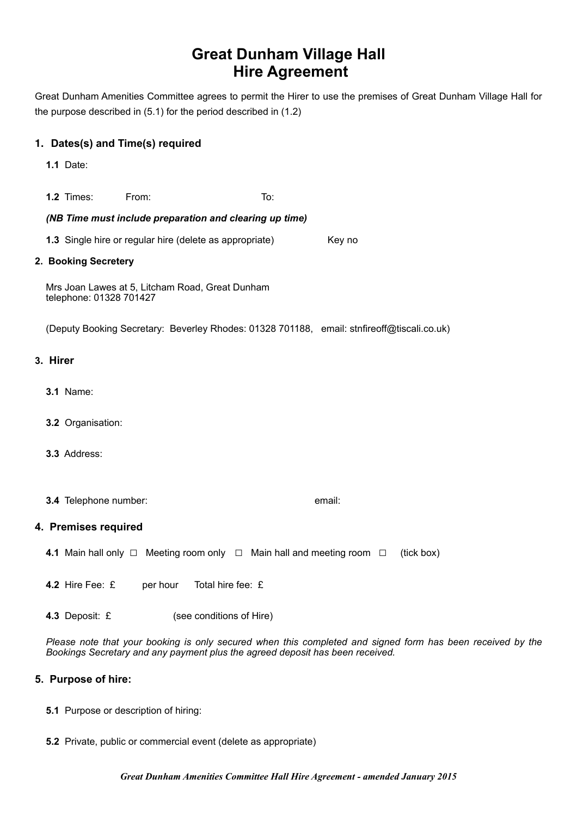# **Great Dunham Village Hall Hire Agreement**

Great Dunham Amenities Committee agrees to permit the Hirer to use the premises of Great Dunham Village Hall for the purpose described in (5.1) for the period described in (1.2)

## **1. Dates(s) and Time(s) required**

**1.1** Date:

**1.2** Times: From: To:

## *(NB Time must include preparation and clearing up time)*

**1.3** Single hire or regular hire (delete as appropriate) Key no

#### **2. Booking Secretery**

Mrs Joan Lawes at 5, Litcham Road, Great Dunham telephone: 01328 701427

(Deputy Booking Secretary: Beverley Rhodes: 01328 701188, email: stnfireoff@tiscali.co.uk)

#### **3. Hirer**

- **3.1** Name:
- **3.2** Organisation:
- **3.3** Address:
- **3.4** Telephone number: email:

## **4. Premises required**

**4.1** Main hall only □ Meeting room only □ Main hall and meeting room □ (tick box)

**4.2** Hire Fee: £ per hour Total hire fee: £

**4.3** Deposit: £ (see conditions of Hire)

*Please note that your booking is only secured when this completed and signed form has been received by the Bookings Secretary and any payment plus the agreed deposit has been received.*

## **5. Purpose of hire:**

- **5.1** Purpose or description of hiring:
- **5.2** Private, public or commercial event (delete as appropriate)